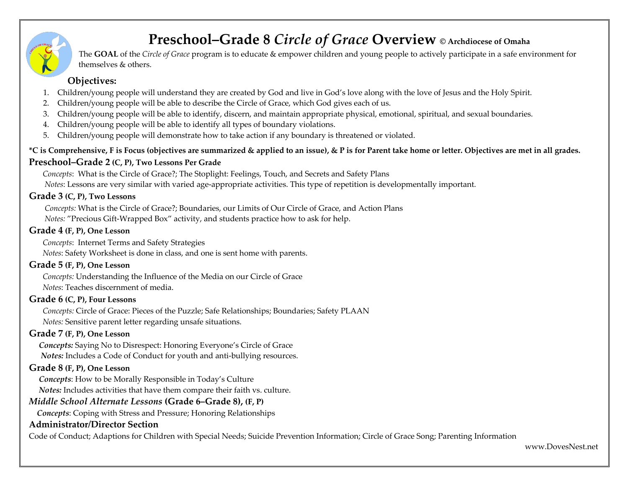# **Preschool–Grade 8** *Circle of Grace* **Overview © Archdiocese of Omaha**

The **GOAL** of the *Circle of Grace* program is to educate & empower children and young people to actively participate in a safe environment for themselves & others.

# **Objectives:**

- 1. Children/young people will understand they are created by God and live in God's love along with the love of Jesus and the Holy Spirit.
- 2. Children/young people will be able to describe the Circle of Grace, which God gives each of us.
- 3. Children/young people will be able to identify, discern, and maintain appropriate physical, emotional, spiritual, and sexual boundaries.
- 4. Children/young people will be able to identify all types of boundary violations.
- 5. Children/young people will demonstrate how to take action if any boundary is threatened or violated.

### **\*C is Comprehensive, F is Focus (objectives are summarized & applied to an issue), & P is for Parent take home or letter. Objectives are met in all grades.**

### **Preschool–Grade 2 (C, P), Two Lessons Per Grade**

 *Concepts*: What is the Circle of Grace?; The Stoplight: Feelings, Touch, and Secrets and Safety Plans  *Notes*: Lessons are very similar with varied age-appropriate activities. This type of repetition is developmentally important.

# **Grade 3 (C, P), Two Lessons**

 *Concepts:* What is the Circle of Grace?; Boundaries, our Limits of Our Circle of Grace, and Action Plans  *Notes:* "Precious Gift-Wrapped Box" activity, and students practice how to ask for help.

#### **Grade 4 (F, P), One Lesson**

 *Concepts*: Internet Terms and Safety Strategies

 *Notes*: Safety Worksheet is done in class, and one is sent home with parents.

#### **Grade 5 (F, P), One Lesson**

 *Concepts:* Understanding the Influence of the Media on our Circle of Grace  *Notes*: Teaches discernment of media.

#### **Grade 6 (C, P), Four Lessons**

 *Concepts:* Circle of Grace: Pieces of the Puzzle; Safe Relationships; Boundaries; Safety PLAAN  *Notes:* Sensitive parent letter regarding unsafe situations.

# **Grade 7 (F, P), One Lesson**

 *Concepts:* Saying No to Disrespect: Honoring Everyone's Circle of Grace  *Notes:* Includes a Code of Conduct for youth and anti-bullying resources.

# **Grade 8 (F, P), One Lesson**

 *Concepts*: How to be Morally Responsible in Today's Culture  *Notes:* Includes activities that have them compare their faith vs. culture.

# *Middle School Alternate Lessons* **(Grade 6–Grade 8), (F, P)**

 *Concepts*: Coping with Stress and Pressure; Honoring Relationships

#### **Administrator/Director Section**

Code of Conduct; Adaptions for Children with Special Needs; Suicide Prevention Information; Circle of Grace Song; Parenting Information

www.DovesNest.net